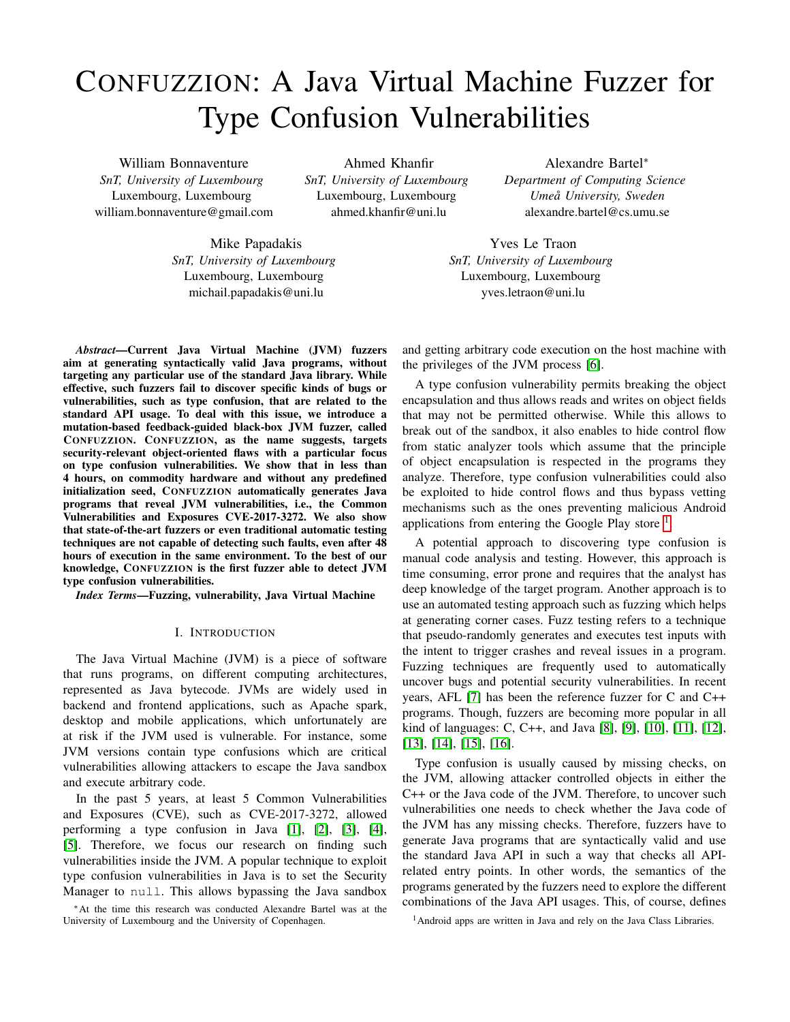# CONFUZZION: A Java Virtual Machine Fuzzer for Type Confusion Vulnerabilities

William Bonnaventure *SnT, University of Luxembourg* Luxembourg, Luxembourg william.bonnaventure@gmail.com

Ahmed Khanfir *SnT, University of Luxembourg* Luxembourg, Luxembourg ahmed.khanfir@uni.lu

Alexandre Bartel<sup>∗</sup> *Department of Computing Science Umeå University, Sweden* alexandre.bartel@cs.umu.se

Mike Papadakis *SnT, University of Luxembourg* Luxembourg, Luxembourg michail.papadakis@uni.lu

Yves Le Traon *SnT, University of Luxembourg* Luxembourg, Luxembourg yves.letraon@uni.lu

*Abstract*—Current Java Virtual Machine (JVM) fuzzers aim at generating syntactically valid Java programs, without targeting any particular use of the standard Java library. While effective, such fuzzers fail to discover specific kinds of bugs or vulnerabilities, such as type confusion, that are related to the standard API usage. To deal with this issue, we introduce a mutation-based feedback-guided black-box JVM fuzzer, called CONFUZZION. CONFUZZION, as the name suggests, targets security-relevant object-oriented flaws with a particular focus on type confusion vulnerabilities. We show that in less than 4 hours, on commodity hardware and without any predefined initialization seed, CONFUZZION automatically generates Java programs that reveal JVM vulnerabilities, i.e., the Common Vulnerabilities and Exposures CVE-2017-3272. We also show that state-of-the-art fuzzers or even traditional automatic testing techniques are not capable of detecting such faults, even after 48 hours of execution in the same environment. To the best of our knowledge, CONFUZZION is the first fuzzer able to detect JVM type confusion vulnerabilities.

*Index Terms*—Fuzzing, vulnerability, Java Virtual Machine

#### I. INTRODUCTION

The Java Virtual Machine (JVM) is a piece of software that runs programs, on different computing architectures, represented as Java bytecode. JVMs are widely used in backend and frontend applications, such as Apache spark, desktop and mobile applications, which unfortunately are at risk if the JVM used is vulnerable. For instance, some JVM versions contain type confusions which are critical vulnerabilities allowing attackers to escape the Java sandbox and execute arbitrary code.

In the past 5 years, at least 5 Common Vulnerabilities and Exposures (CVE), such as CVE-2017-3272, allowed performing a type confusion in Java [\[1\]](#page-10-0), [\[2\]](#page-10-1), [\[3\]](#page-10-2), [\[4\]](#page-10-3), [\[5\]](#page-10-4). Therefore, we focus our research on finding such vulnerabilities inside the JVM. A popular technique to exploit type confusion vulnerabilities in Java is to set the Security Manager to null. This allows bypassing the Java sandbox

<sup>∗</sup>At the time this research was conducted Alexandre Bartel was at the University of Luxembourg and the University of Copenhagen.

and getting arbitrary code execution on the host machine with the privileges of the JVM process [\[6\]](#page-11-0).

A type confusion vulnerability permits breaking the object encapsulation and thus allows reads and writes on object fields that may not be permitted otherwise. While this allows to break out of the sandbox, it also enables to hide control flow from static analyzer tools which assume that the principle of object encapsulation is respected in the programs they analyze. Therefore, type confusion vulnerabilities could also be exploited to hide control flows and thus bypass vetting mechanisms such as the ones preventing malicious Android applications from entering the Google Play store  $<sup>1</sup>$  $<sup>1</sup>$  $<sup>1</sup>$ .</sup>

A potential approach to discovering type confusion is manual code analysis and testing. However, this approach is time consuming, error prone and requires that the analyst has deep knowledge of the target program. Another approach is to use an automated testing approach such as fuzzing which helps at generating corner cases. Fuzz testing refers to a technique that pseudo-randomly generates and executes test inputs with the intent to trigger crashes and reveal issues in a program. Fuzzing techniques are frequently used to automatically uncover bugs and potential security vulnerabilities. In recent years, AFL [\[7\]](#page-11-1) has been the reference fuzzer for C and C++ programs. Though, fuzzers are becoming more popular in all kind of languages: C, C++, and Java [\[8\]](#page-11-2), [\[9\]](#page-11-3), [\[10\]](#page-11-4), [\[11\]](#page-11-5), [\[12\]](#page-11-6), [\[13\]](#page-11-7), [\[14\]](#page-11-8), [\[15\]](#page-11-9), [\[16\]](#page-11-10).

Type confusion is usually caused by missing checks, on the JVM, allowing attacker controlled objects in either the C++ or the Java code of the JVM. Therefore, to uncover such vulnerabilities one needs to check whether the Java code of the JVM has any missing checks. Therefore, fuzzers have to generate Java programs that are syntactically valid and use the standard Java API in such a way that checks all APIrelated entry points. In other words, the semantics of the programs generated by the fuzzers need to explore the different combinations of the Java API usages. This, of course, defines

<span id="page-0-0"></span><sup>1</sup>Android apps are written in Java and rely on the Java Class Libraries.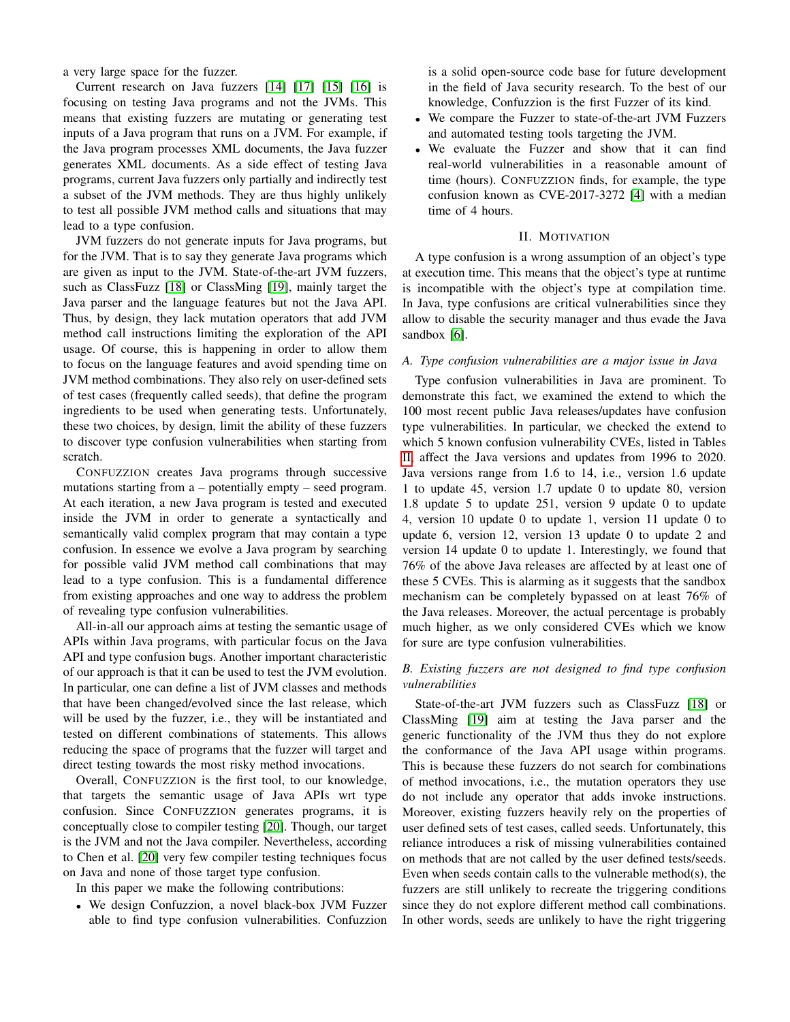a very large space for the fuzzer.

Current research on Java fuzzers [\[14\]](#page-11-8) [\[17\]](#page-11-11) [\[15\]](#page-11-9) [\[16\]](#page-11-10) is focusing on testing Java programs and not the JVMs. This means that existing fuzzers are mutating or generating test inputs of a Java program that runs on a JVM. For example, if the Java program processes XML documents, the Java fuzzer generates XML documents. As a side effect of testing Java programs, current Java fuzzers only partially and indirectly test a subset of the JVM methods. They are thus highly unlikely to test all possible JVM method calls and situations that may lead to a type confusion.

JVM fuzzers do not generate inputs for Java programs, but for the JVM. That is to say they generate Java programs which are given as input to the JVM. State-of-the-art JVM fuzzers, such as ClassFuzz [\[18\]](#page-11-12) or ClassMing [\[19\]](#page-11-13), mainly target the Java parser and the language features but not the Java API. Thus, by design, they lack mutation operators that add JVM method call instructions limiting the exploration of the API usage. Of course, this is happening in order to allow them to focus on the language features and avoid spending time on JVM method combinations. They also rely on user-defined sets of test cases (frequently called seeds), that define the program ingredients to be used when generating tests. Unfortunately, these two choices, by design, limit the ability of these fuzzers to discover type confusion vulnerabilities when starting from scratch.

CONFUZZION creates Java programs through successive mutations starting from a – potentially empty – seed program. At each iteration, a new Java program is tested and executed inside the JVM in order to generate a syntactically and semantically valid complex program that may contain a type confusion. In essence we evolve a Java program by searching for possible valid JVM method call combinations that may lead to a type confusion. This is a fundamental difference from existing approaches and one way to address the problem of revealing type confusion vulnerabilities.

All-in-all our approach aims at testing the semantic usage of APIs within Java programs, with particular focus on the Java API and type confusion bugs. Another important characteristic of our approach is that it can be used to test the JVM evolution. In particular, one can define a list of JVM classes and methods that have been changed/evolved since the last release, which will be used by the fuzzer, i.e., they will be instantiated and tested on different combinations of statements. This allows reducing the space of programs that the fuzzer will target and direct testing towards the most risky method invocations.

Overall, CONFUZZION is the first tool, to our knowledge, that targets the semantic usage of Java APIs wrt type confusion. Since CONFUZZION generates programs, it is conceptually close to compiler testing [\[20\]](#page-11-14). Though, our target is the JVM and not the Java compiler. Nevertheless, according to Chen et al. [\[20\]](#page-11-14) very few compiler testing techniques focus on Java and none of those target type confusion.

In this paper we make the following contributions:

• We design Confuzzion, a novel black-box JVM Fuzzer able to find type confusion vulnerabilities. Confuzzion

is a solid open-source code base for future development in the field of Java security research. To the best of our knowledge, Confuzzion is the first Fuzzer of its kind.

- We compare the Fuzzer to state-of-the-art JVM Fuzzers and automated testing tools targeting the JVM.
- We evaluate the Fuzzer and show that it can find real-world vulnerabilities in a reasonable amount of time (hours). CONFUZZION finds, for example, the type confusion known as CVE-2017-3272 [\[4\]](#page-10-3) with a median time of 4 hours.

#### II. MOTIVATION

A type confusion is a wrong assumption of an object's type at execution time. This means that the object's type at runtime is incompatible with the object's type at compilation time. In Java, type confusions are critical vulnerabilities since they allow to disable the security manager and thus evade the Java sandbox [\[6\]](#page-11-0).

## *A. Type confusion vulnerabilities are a major issue in Java*

Type confusion vulnerabilities in Java are prominent. To demonstrate this fact, we examined the extend to which the 100 most recent public Java releases/updates have confusion type vulnerabilities. In particular, we checked the extend to which 5 known confusion vulnerability CVEs, listed in Tables [II,](#page-6-0) affect the Java versions and updates from 1996 to 2020. Java versions range from 1.6 to 14, i.e., version 1.6 update 1 to update 45, version 1.7 update 0 to update 80, version 1.8 update 5 to update 251, version 9 update 0 to update 4, version 10 update 0 to update 1, version 11 update 0 to update 6, version 12, version 13 update 0 to update 2 and version 14 update 0 to update 1. Interestingly, we found that 76% of the above Java releases are affected by at least one of these 5 CVEs. This is alarming as it suggests that the sandbox mechanism can be completely bypassed on at least 76% of the Java releases. Moreover, the actual percentage is probably much higher, as we only considered CVEs which we know for sure are type confusion vulnerabilities.

# *B. Existing fuzzers are not designed to find type confusion vulnerabilities*

State-of-the-art JVM fuzzers such as ClassFuzz [\[18\]](#page-11-12) or ClassMing [\[19\]](#page-11-13) aim at testing the Java parser and the generic functionality of the JVM thus they do not explore the conformance of the Java API usage within programs. This is because these fuzzers do not search for combinations of method invocations, i.e., the mutation operators they use do not include any operator that adds invoke instructions. Moreover, existing fuzzers heavily rely on the properties of user defined sets of test cases, called seeds. Unfortunately, this reliance introduces a risk of missing vulnerabilities contained on methods that are not called by the user defined tests/seeds. Even when seeds contain calls to the vulnerable method(s), the fuzzers are still unlikely to recreate the triggering conditions since they do not explore different method call combinations. In other words, seeds are unlikely to have the right triggering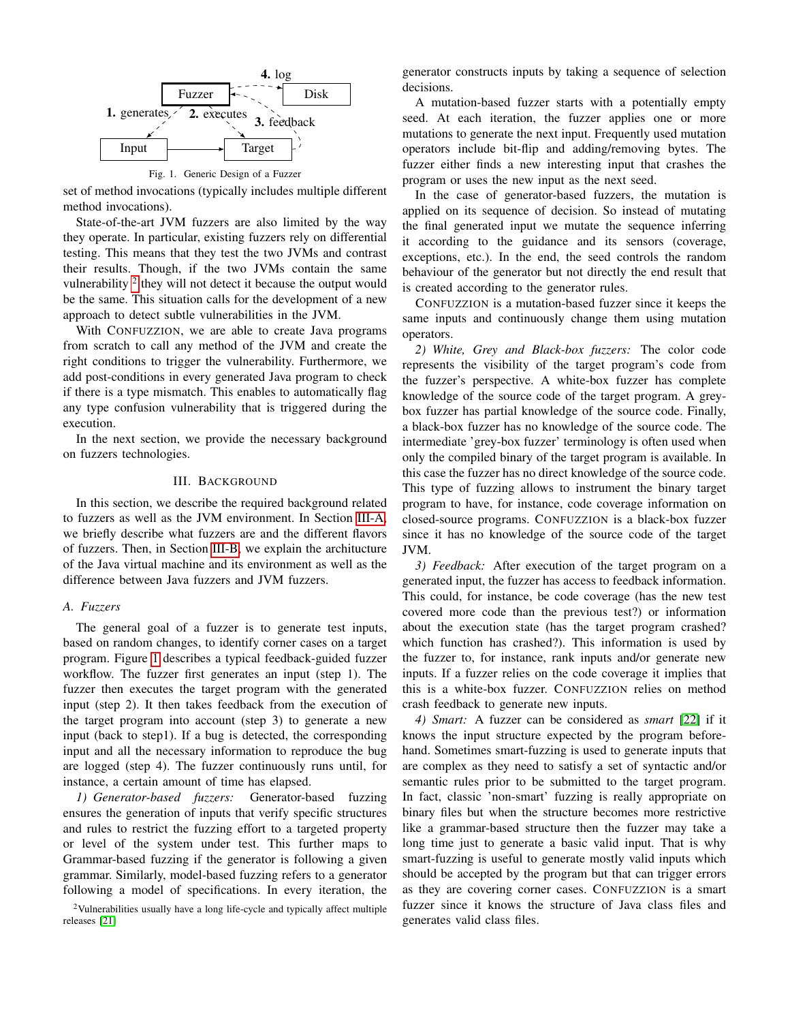

Fig. 1. Generic Design of a Fuzzer

<span id="page-2-2"></span>set of method invocations (typically includes multiple different method invocations).

State-of-the-art JVM fuzzers are also limited by the way they operate. In particular, existing fuzzers rely on differential testing. This means that they test the two JVMs and contrast their results. Though, if the two JVMs contain the same vulnerability  $2$  they will not detect it because the output would be the same. This situation calls for the development of a new approach to detect subtle vulnerabilities in the JVM.

With CONFUZZION, we are able to create Java programs from scratch to call any method of the JVM and create the right conditions to trigger the vulnerability. Furthermore, we add post-conditions in every generated Java program to check if there is a type mismatch. This enables to automatically flag any type confusion vulnerability that is triggered during the execution.

In the next section, we provide the necessary background on fuzzers technologies.

## III. BACKGROUND

In this section, we describe the required background related to fuzzers as well as the JVM environment. In Section [III-A,](#page-2-1) we briefly describe what fuzzers are and the different flavors of fuzzers. Then, in Section [III-B,](#page-3-0) we explain the architucture of the Java virtual machine and its environment as well as the difference between Java fuzzers and JVM fuzzers.

## <span id="page-2-1"></span>*A. Fuzzers*

The general goal of a fuzzer is to generate test inputs, based on random changes, to identify corner cases on a target program. Figure [1](#page-2-2) describes a typical feedback-guided fuzzer workflow. The fuzzer first generates an input (step 1). The fuzzer then executes the target program with the generated input (step 2). It then takes feedback from the execution of the target program into account (step 3) to generate a new input (back to step1). If a bug is detected, the corresponding input and all the necessary information to reproduce the bug are logged (step 4). The fuzzer continuously runs until, for instance, a certain amount of time has elapsed.

*1) Generator-based fuzzers:* Generator-based fuzzing ensures the generation of inputs that verify specific structures and rules to restrict the fuzzing effort to a targeted property or level of the system under test. This further maps to Grammar-based fuzzing if the generator is following a given grammar. Similarly, model-based fuzzing refers to a generator following a model of specifications. In every iteration, the

<span id="page-2-0"></span><sup>2</sup>Vulnerabilities usually have a long life-cycle and typically affect multiple releases [\[21\]](#page-11-15)

generator constructs inputs by taking a sequence of selection decisions.

A mutation-based fuzzer starts with a potentially empty seed. At each iteration, the fuzzer applies one or more mutations to generate the next input. Frequently used mutation operators include bit-flip and adding/removing bytes. The fuzzer either finds a new interesting input that crashes the program or uses the new input as the next seed.

In the case of generator-based fuzzers, the mutation is applied on its sequence of decision. So instead of mutating the final generated input we mutate the sequence inferring it according to the guidance and its sensors (coverage, exceptions, etc.). In the end, the seed controls the random behaviour of the generator but not directly the end result that is created according to the generator rules.

CONFUZZION is a mutation-based fuzzer since it keeps the same inputs and continuously change them using mutation operators.

*2) White, Grey and Black-box fuzzers:* The color code represents the visibility of the target program's code from the fuzzer's perspective. A white-box fuzzer has complete knowledge of the source code of the target program. A greybox fuzzer has partial knowledge of the source code. Finally, a black-box fuzzer has no knowledge of the source code. The intermediate 'grey-box fuzzer' terminology is often used when only the compiled binary of the target program is available. In this case the fuzzer has no direct knowledge of the source code. This type of fuzzing allows to instrument the binary target program to have, for instance, code coverage information on closed-source programs. CONFUZZION is a black-box fuzzer since it has no knowledge of the source code of the target JVM.

*3) Feedback:* After execution of the target program on a generated input, the fuzzer has access to feedback information. This could, for instance, be code coverage (has the new test covered more code than the previous test?) or information about the execution state (has the target program crashed? which function has crashed?). This information is used by the fuzzer to, for instance, rank inputs and/or generate new inputs. If a fuzzer relies on the code coverage it implies that this is a white-box fuzzer. CONFUZZION relies on method crash feedback to generate new inputs.

*4) Smart:* A fuzzer can be considered as *smart* [\[22\]](#page-11-16) if it knows the input structure expected by the program beforehand. Sometimes smart-fuzzing is used to generate inputs that are complex as they need to satisfy a set of syntactic and/or semantic rules prior to be submitted to the target program. In fact, classic 'non-smart' fuzzing is really appropriate on binary files but when the structure becomes more restrictive like a grammar-based structure then the fuzzer may take a long time just to generate a basic valid input. That is why smart-fuzzing is useful to generate mostly valid inputs which should be accepted by the program but that can trigger errors as they are covering corner cases. CONFUZZION is a smart fuzzer since it knows the structure of Java class files and generates valid class files.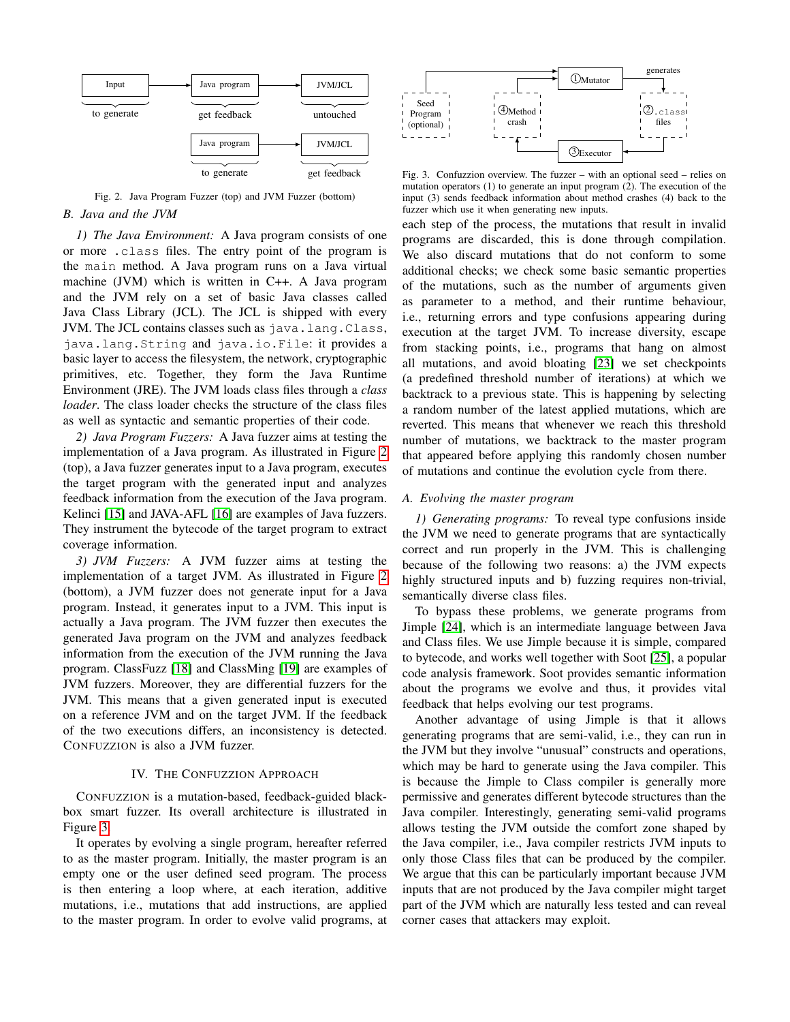

<span id="page-3-1"></span>Fig. 2. Java Program Fuzzer (top) and JVM Fuzzer (bottom)

# <span id="page-3-0"></span>*B. Java and the JVM*

*1) The Java Environment:* A Java program consists of one or more .class files. The entry point of the program is the main method. A Java program runs on a Java virtual machine (JVM) which is written in C++. A Java program and the JVM rely on a set of basic Java classes called Java Class Library (JCL). The JCL is shipped with every JVM. The JCL contains classes such as java.lang.Class, java.lang.String and java.io.File: it provides a basic layer to access the filesystem, the network, cryptographic primitives, etc. Together, they form the Java Runtime Environment (JRE). The JVM loads class files through a *class loader*. The class loader checks the structure of the class files as well as syntactic and semantic properties of their code.

*2) Java Program Fuzzers:* A Java fuzzer aims at testing the implementation of a Java program. As illustrated in Figure [2](#page-3-1) (top), a Java fuzzer generates input to a Java program, executes the target program with the generated input and analyzes feedback information from the execution of the Java program. Kelinci [\[15\]](#page-11-9) and JAVA-AFL [\[16\]](#page-11-10) are examples of Java fuzzers. They instrument the bytecode of the target program to extract coverage information.

*3) JVM Fuzzers:* A JVM fuzzer aims at testing the implementation of a target JVM. As illustrated in Figure [2](#page-3-1) (bottom), a JVM fuzzer does not generate input for a Java program. Instead, it generates input to a JVM. This input is actually a Java program. The JVM fuzzer then executes the generated Java program on the JVM and analyzes feedback information from the execution of the JVM running the Java program. ClassFuzz [\[18\]](#page-11-12) and ClassMing [\[19\]](#page-11-13) are examples of JVM fuzzers. Moreover, they are differential fuzzers for the JVM. This means that a given generated input is executed on a reference JVM and on the target JVM. If the feedback of the two executions differs, an inconsistency is detected. CONFUZZION is also a JVM fuzzer.

## IV. THE CONFUZZION APPROACH

CONFUZZION is a mutation-based, feedback-guided blackbox smart fuzzer. Its overall architecture is illustrated in Figure [3.](#page-3-2)

It operates by evolving a single program, hereafter referred to as the master program. Initially, the master program is an empty one or the user defined seed program. The process is then entering a loop where, at each iteration, additive mutations, i.e., mutations that add instructions, are applied to the master program. In order to evolve valid programs, at



<span id="page-3-2"></span>Fig. 3. Confuzzion overview. The fuzzer – with an optional seed – relies on mutation operators (1) to generate an input program (2). The execution of the input (3) sends feedback information about method crashes (4) back to the fuzzer which use it when generating new inputs.

each step of the process, the mutations that result in invalid programs are discarded, this is done through compilation. We also discard mutations that do not conform to some additional checks; we check some basic semantic properties of the mutations, such as the number of arguments given as parameter to a method, and their runtime behaviour, i.e., returning errors and type confusions appearing during execution at the target JVM. To increase diversity, escape from stacking points, i.e., programs that hang on almost all mutations, and avoid bloating [\[23\]](#page-11-17) we set checkpoints (a predefined threshold number of iterations) at which we backtrack to a previous state. This is happening by selecting a random number of the latest applied mutations, which are reverted. This means that whenever we reach this threshold number of mutations, we backtrack to the master program that appeared before applying this randomly chosen number of mutations and continue the evolution cycle from there.

#### *A. Evolving the master program*

*1) Generating programs:* To reveal type confusions inside the JVM we need to generate programs that are syntactically correct and run properly in the JVM. This is challenging because of the following two reasons: a) the JVM expects highly structured inputs and b) fuzzing requires non-trivial, semantically diverse class files.

To bypass these problems, we generate programs from Jimple [\[24\]](#page-11-18), which is an intermediate language between Java and Class files. We use Jimple because it is simple, compared to bytecode, and works well together with Soot [\[25\]](#page-11-19), a popular code analysis framework. Soot provides semantic information about the programs we evolve and thus, it provides vital feedback that helps evolving our test programs.

Another advantage of using Jimple is that it allows generating programs that are semi-valid, i.e., they can run in the JVM but they involve "unusual" constructs and operations, which may be hard to generate using the Java compiler. This is because the Jimple to Class compiler is generally more permissive and generates different bytecode structures than the Java compiler. Interestingly, generating semi-valid programs allows testing the JVM outside the comfort zone shaped by the Java compiler, i.e., Java compiler restricts JVM inputs to only those Class files that can be produced by the compiler. We argue that this can be particularly important because JVM inputs that are not produced by the Java compiler might target part of the JVM which are naturally less tested and can reveal corner cases that attackers may exploit.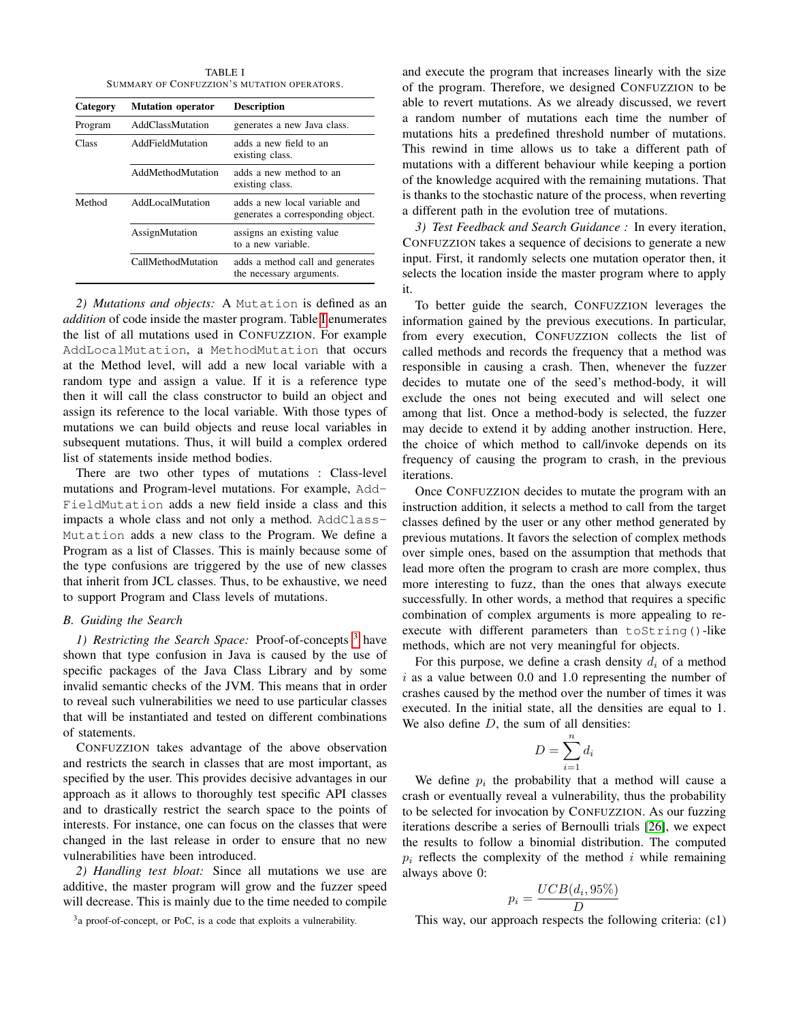TABLE I SUMMARY OF CONFUZZION'S MUTATION OPERATORS.

<span id="page-4-0"></span>

| Category<br><b>Mutation operator</b> |                         | <b>Description</b>                                                 |  |  |
|--------------------------------------|-------------------------|--------------------------------------------------------------------|--|--|
| Program                              | <b>AddClassMutation</b> | generates a new Java class.                                        |  |  |
| Class                                | AddFieldMutation        | adds a new field to an<br>existing class.                          |  |  |
|                                      | AddMethodMutation       | adds a new method to an<br>existing class.                         |  |  |
| Method                               | AddLocalMutation        | adds a new local variable and<br>generates a corresponding object. |  |  |
|                                      | AssignMutation          | assigns an existing value<br>to a new variable.                    |  |  |
|                                      | CallMethodMutation      | adds a method call and generates<br>the necessary arguments.       |  |  |

*2) Mutations and objects:* A Mutation is defined as an *addition* of code inside the master program. Table [I](#page-4-0) enumerates the list of all mutations used in CONFUZZION. For example AddLocalMutation, a MethodMutation that occurs at the Method level, will add a new local variable with a random type and assign a value. If it is a reference type then it will call the class constructor to build an object and assign its reference to the local variable. With those types of mutations we can build objects and reuse local variables in subsequent mutations. Thus, it will build a complex ordered list of statements inside method bodies.

There are two other types of mutations : Class-level mutations and Program-level mutations. For example, Add-FieldMutation adds a new field inside a class and this impacts a whole class and not only a method. AddClass-Mutation adds a new class to the Program. We define a Program as a list of Classes. This is mainly because some of the type confusions are triggered by the use of new classes that inherit from JCL classes. Thus, to be exhaustive, we need to support Program and Class levels of mutations.

## *B. Guiding the Search*

<span id="page-4-3"></span>*1) Restricting the Search Space:* Proof-of-concepts [3](#page-4-1) have shown that type confusion in Java is caused by the use of specific packages of the Java Class Library and by some invalid semantic checks of the JVM. This means that in order to reveal such vulnerabilities we need to use particular classes that will be instantiated and tested on different combinations of statements.

CONFUZZION takes advantage of the above observation and restricts the search in classes that are most important, as specified by the user. This provides decisive advantages in our approach as it allows to thoroughly test specific API classes and to drastically restrict the search space to the points of interests. For instance, one can focus on the classes that were changed in the last release in order to ensure that no new vulnerabilities have been introduced.

*2) Handling test bloat:* Since all mutations we use are additive, the master program will grow and the fuzzer speed will decrease. This is mainly due to the time needed to compile

<span id="page-4-1"></span><sup>3</sup>a proof-of-concept, or PoC, is a code that exploits a vulnerability.

and execute the program that increases linearly with the size of the program. Therefore, we designed CONFUZZION to be able to revert mutations. As we already discussed, we revert a random number of mutations each time the number of mutations hits a predefined threshold number of mutations. This rewind in time allows us to take a different path of mutations with a different behaviour while keeping a portion of the knowledge acquired with the remaining mutations. That is thanks to the stochastic nature of the process, when reverting a different path in the evolution tree of mutations.

<span id="page-4-2"></span>*3) Test Feedback and Search Guidance :* In every iteration, CONFUZZION takes a sequence of decisions to generate a new input. First, it randomly selects one mutation operator then, it selects the location inside the master program where to apply it.

To better guide the search, CONFUZZION leverages the information gained by the previous executions. In particular, from every execution, CONFUZZION collects the list of called methods and records the frequency that a method was responsible in causing a crash. Then, whenever the fuzzer decides to mutate one of the seed's method-body, it will exclude the ones not being executed and will select one among that list. Once a method-body is selected, the fuzzer may decide to extend it by adding another instruction. Here, the choice of which method to call/invoke depends on its frequency of causing the program to crash, in the previous iterations.

Once CONFUZZION decides to mutate the program with an instruction addition, it selects a method to call from the target classes defined by the user or any other method generated by previous mutations. It favors the selection of complex methods over simple ones, based on the assumption that methods that lead more often the program to crash are more complex, thus more interesting to fuzz, than the ones that always execute successfully. In other words, a method that requires a specific combination of complex arguments is more appealing to reexecute with different parameters than toString()-like methods, which are not very meaningful for objects.

For this purpose, we define a crash density  $d_i$  of a method  $i$  as a value between 0.0 and 1.0 representing the number of crashes caused by the method over the number of times it was executed. In the initial state, all the densities are equal to 1. We also define  $D$ , the sum of all densities:

$$
D = \sum_{i=1}^{n} d_i
$$

We define  $p_i$  the probability that a method will cause a crash or eventually reveal a vulnerability, thus the probability to be selected for invocation by CONFUZZION. As our fuzzing iterations describe a series of Bernoulli trials [\[26\]](#page-11-20), we expect the results to follow a binomial distribution. The computed  $p_i$  reflects the complexity of the method i while remaining always above 0:

$$
p_i = \frac{UCB(d_i, 95\%)}{D}
$$

This way, our approach respects the following criteria: (c1)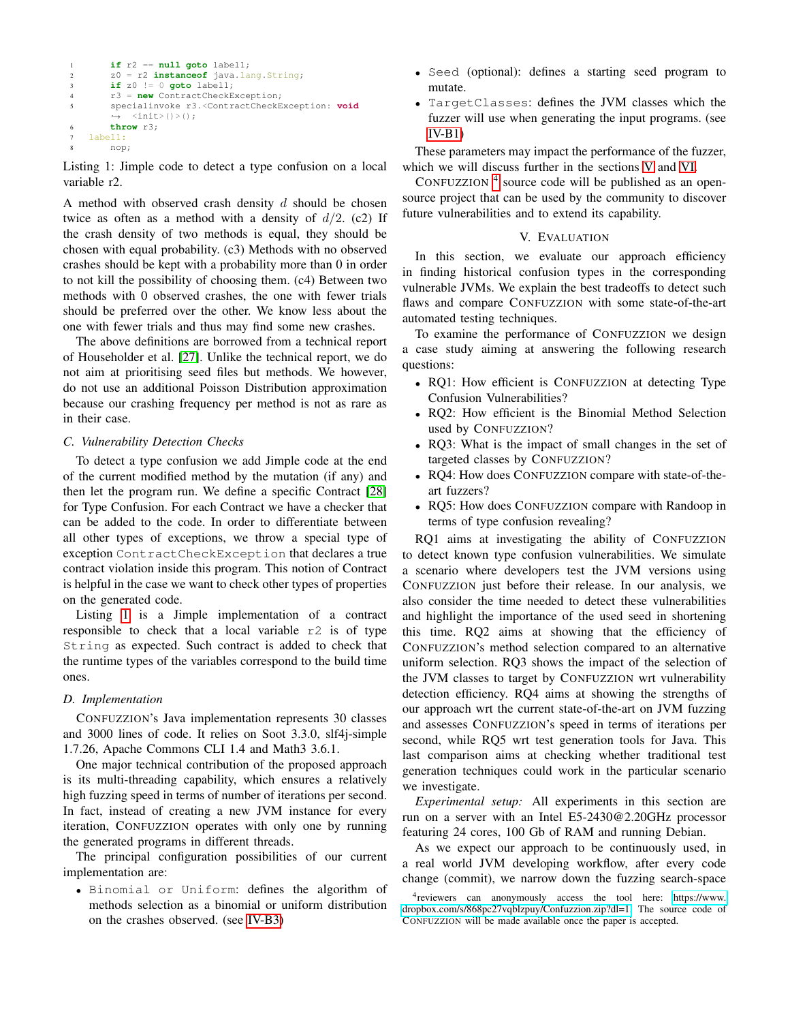```
1 if r2 == null goto label1;
2 z0 = r2 instanceof java.lang.String;
3 if z0 != 0 goto label1;
4 r3 = new ContractCheckException;
5 specialinvoke r3.<ContractCheckException: void
         \langleinit>()>();
      6 throw r3;
7 label1:
8 nop;
```
<span id="page-5-0"></span>Listing 1: Jimple code to detect a type confusion on a local variable r2.

A method with observed crash density  $d$  should be chosen twice as often as a method with a density of  $d/2$ . (c2) If the crash density of two methods is equal, they should be chosen with equal probability. (c3) Methods with no observed crashes should be kept with a probability more than 0 in order to not kill the possibility of choosing them. (c4) Between two methods with 0 observed crashes, the one with fewer trials should be preferred over the other. We know less about the one with fewer trials and thus may find some new crashes.

The above definitions are borrowed from a technical report of Householder et al. [\[27\]](#page-11-21). Unlike the technical report, we do not aim at prioritising seed files but methods. We however, do not use an additional Poisson Distribution approximation because our crashing frequency per method is not as rare as in their case.

## *C. Vulnerability Detection Checks*

To detect a type confusion we add Jimple code at the end of the current modified method by the mutation (if any) and then let the program run. We define a specific Contract [\[28\]](#page-11-22) for Type Confusion. For each Contract we have a checker that can be added to the code. In order to differentiate between all other types of exceptions, we throw a special type of exception ContractCheckException that declares a true contract violation inside this program. This notion of Contract is helpful in the case we want to check other types of properties on the generated code.

Listing [1](#page-5-0) is a Jimple implementation of a contract responsible to check that a local variable r2 is of type String as expected. Such contract is added to check that the runtime types of the variables correspond to the build time ones.

## *D. Implementation*

CONFUZZION's Java implementation represents 30 classes and 3000 lines of code. It relies on Soot 3.3.0, slf4j-simple 1.7.26, Apache Commons CLI 1.4 and Math3 3.6.1.

One major technical contribution of the proposed approach is its multi-threading capability, which ensures a relatively high fuzzing speed in terms of number of iterations per second. In fact, instead of creating a new JVM instance for every iteration, CONFUZZION operates with only one by running the generated programs in different threads.

The principal configuration possibilities of our current implementation are:

• Binomial or Uniform: defines the algorithm of methods selection as a binomial or uniform distribution on the crashes observed. (see [IV-B3\)](#page-4-2)

- Seed (optional): defines a starting seed program to mutate.
- TargetClasses: defines the JVM classes which the fuzzer will use when generating the input programs. (see [IV-B1\)](#page-4-3)

These parameters may impact the performance of the fuzzer, which we will discuss further in the sections [V](#page-5-1) and [VI.](#page-9-0)

CONFUZZION  $<sup>4</sup>$  $<sup>4</sup>$  $<sup>4</sup>$  source code will be published as an open-</sup> source project that can be used by the community to discover future vulnerabilities and to extend its capability.

# V. EVALUATION

<span id="page-5-1"></span>In this section, we evaluate our approach efficiency in finding historical confusion types in the corresponding vulnerable JVMs. We explain the best tradeoffs to detect such flaws and compare CONFUZZION with some state-of-the-art automated testing techniques.

To examine the performance of CONFUZZION we design a case study aiming at answering the following research questions:

- RQ1: How efficient is CONFUZZION at detecting Type Confusion Vulnerabilities?
- RQ2: How efficient is the Binomial Method Selection used by CONFUZZION?
- RQ3: What is the impact of small changes in the set of targeted classes by CONFUZZION?
- RQ4: How does CONFUZZION compare with state-of-theart fuzzers?
- RQ5: How does CONFUZZION compare with Randoop in terms of type confusion revealing?

RQ1 aims at investigating the ability of CONFUZZION to detect known type confusion vulnerabilities. We simulate a scenario where developers test the JVM versions using CONFUZZION just before their release. In our analysis, we also consider the time needed to detect these vulnerabilities and highlight the importance of the used seed in shortening this time. RQ2 aims at showing that the efficiency of CONFUZZION's method selection compared to an alternative uniform selection. RQ3 shows the impact of the selection of the JVM classes to target by CONFUZZION wrt vulnerability detection efficiency. RQ4 aims at showing the strengths of our approach wrt the current state-of-the-art on JVM fuzzing and assesses CONFUZZION's speed in terms of iterations per second, while RQ5 wrt test generation tools for Java. This last comparison aims at checking whether traditional test generation techniques could work in the particular scenario we investigate.

*Experimental setup:* All experiments in this section are run on a server with an Intel E5-2430@2.20GHz processor featuring 24 cores, 100 Gb of RAM and running Debian.

As we expect our approach to be continuously used, in a real world JVM developing workflow, after every code change (commit), we narrow down the fuzzing search-space

<span id="page-5-2"></span><sup>&</sup>lt;sup>4</sup>reviewers can anonymously access the tool here: [https://www.](https://www.dropbox.com/s/868pc27vqblzpuy/Confuzzion.zip?dl=1) [dropbox.com/s/868pc27vqblzpuy/Confuzzion.zip?dl=1.](https://www.dropbox.com/s/868pc27vqblzpuy/Confuzzion.zip?dl=1) The source code of CONFUZZION will be made available once the paper is accepted.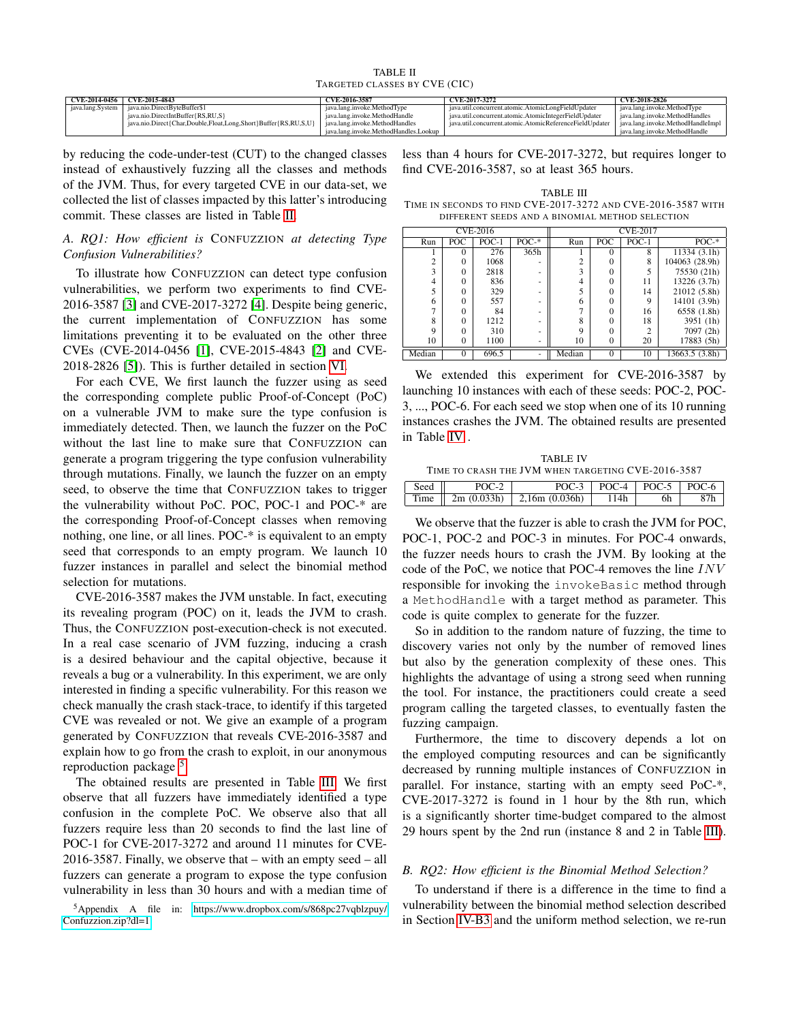TABLE II TARGETED CLASSES BY CVE (CIC)

<span id="page-6-0"></span>

| $CVE-2014-0456$  | CVE-2015-4843                                                  | CVE-2016-3587                         | CVE-2017-3272                                           | CVE-2018-2826                     |
|------------------|----------------------------------------------------------------|---------------------------------------|---------------------------------------------------------|-----------------------------------|
| java.lang.System | iava.nio.DirectBvteBuffer\$1                                   | iava.lang.invoke.MethodTvpe           | iava.util.concurrent.atomic.AtomicLongFieldUpdater      | java.lang.invoke.MethodType       |
|                  | java.nio.DirectIntBuffer{RS,RU,S}                              | iava.lang.invoke.MethodHandle         | iava.util.concurrent.atomic.AtomicIntegerFieldUpdater   | java.lang.invoke.MethodHandles    |
|                  | iava.nio.Direct{Char.Double.Float.Long.Short}Buffer{RS.RU.S.U} | iava.lang.invoke.MethodHandles        | iava.util.concurrent.atomic.AtomicReferenceFieldUpdater | iava.lang.invoke.MethodHandleImpl |
|                  |                                                                | iava.lang.invoke.MethodHandles.Lookup |                                                         | iava.lang.invoke.MethodHandle     |

by reducing the code-under-test (CUT) to the changed classes instead of exhaustively fuzzing all the classes and methods of the JVM. Thus, for every targeted CVE in our data-set, we collected the list of classes impacted by this latter's introducing commit. These classes are listed in Table [II.](#page-6-0)

## <span id="page-6-4"></span>*A. RQ1: How efficient is* CONFUZZION *at detecting Type Confusion Vulnerabilities?*

To illustrate how CONFUZZION can detect type confusion vulnerabilities, we perform two experiments to find CVE-2016-3587 [\[3\]](#page-10-2) and CVE-2017-3272 [\[4\]](#page-10-3). Despite being generic, the current implementation of CONFUZZION has some limitations preventing it to be evaluated on the other three CVEs (CVE-2014-0456 [\[1\]](#page-10-0), CVE-2015-4843 [\[2\]](#page-10-1) and CVE-2018-2826 [\[5\]](#page-10-4)). This is further detailed in section [VI.](#page-9-0)

For each CVE, We first launch the fuzzer using as seed the corresponding complete public Proof-of-Concept (PoC) on a vulnerable JVM to make sure the type confusion is immediately detected. Then, we launch the fuzzer on the PoC without the last line to make sure that CONFUZZION can generate a program triggering the type confusion vulnerability through mutations. Finally, we launch the fuzzer on an empty seed, to observe the time that CONFUZZION takes to trigger the vulnerability without PoC. POC, POC-1 and POC-\* are the corresponding Proof-of-Concept classes when removing nothing, one line, or all lines. POC-\* is equivalent to an empty seed that corresponds to an empty program. We launch 10 fuzzer instances in parallel and select the binomial method selection for mutations.

CVE-2016-3587 makes the JVM unstable. In fact, executing its revealing program (POC) on it, leads the JVM to crash. Thus, the CONFUZZION post-execution-check is not executed. In a real case scenario of JVM fuzzing, inducing a crash is a desired behaviour and the capital objective, because it reveals a bug or a vulnerability. In this experiment, we are only interested in finding a specific vulnerability. For this reason we check manually the crash stack-trace, to identify if this targeted CVE was revealed or not. We give an example of a program generated by CONFUZZION that reveals CVE-2016-3587 and explain how to go from the crash to exploit, in our anonymous reproduction package<sup>[5](#page-6-1)</sup>.

The obtained results are presented in Table [III.](#page-6-2) We first observe that all fuzzers have immediately identified a type confusion in the complete PoC. We observe also that all fuzzers require less than 20 seconds to find the last line of POC-1 for CVE-2017-3272 and around 11 minutes for CVE-2016-3587. Finally, we observe that – with an empty seed – all fuzzers can generate a program to expose the type confusion vulnerability in less than 30 hours and with a median time of

<span id="page-6-1"></span><sup>5</sup>Appendix A file in: [https://www.dropbox.com/s/868pc27vqblzpuy/](https://www.dropbox.com/s/868pc27vqblzpuy/Confuzzion.zip?dl=1) [Confuzzion.zip?dl=1](https://www.dropbox.com/s/868pc27vqblzpuy/Confuzzion.zip?dl=1)

less than 4 hours for CVE-2017-3272, but requires longer to find CVE-2016-3587, so at least 365 hours.

<span id="page-6-2"></span>TABLE III TIME IN SECONDS TO FIND CVE-2017-3272 AND CVE-2016-3587 WITH DIFFERENT SEEDS AND A BINOMIAL METHOD SELECTION

| <b>CVE-2016</b> |          |         |          |                | <b>CVE-2017</b> |         |                |
|-----------------|----------|---------|----------|----------------|-----------------|---------|----------------|
| Run             | POC      | $POC-1$ | $POC-$ * | Run            | POC             | $POC-1$ | $POC-$ *       |
|                 | 0        | 276     | 365h     |                | $\theta$        | 8       | 11334 (3.1h)   |
| $\mathfrak{D}$  | 0        | 1068    |          | $\overline{c}$ | 0               | 8       | 104063 (28.9h) |
| 3               | 0        | 2818    |          | ٩              | $\theta$        |         | 75530 (21h)    |
| 4               | 0        | 836     | ۰        | 4              | $\Omega$        | 11      | 13226 (3.7h)   |
|                 | 0        | 329     |          |                | 0               | 14      | 21012 (5.8h)   |
| 6               | 0        | 557     |          | 6              | 0               | Q       | 14101 (3.9h)   |
|                 | 0        | 84      |          |                | 0               | 16      | 6558 (1.8h)    |
| 8               | $\Omega$ | 1212    |          | 8              | 0               | 18      | 3951 (1h)      |
| Q               | 0        | 310     |          | $\Omega$       | 0               |         | 7097 (2h)      |
| 10              | $\theta$ | 1100    | ۰        | 10             | $\overline{0}$  | 20      | 17883 (5h)     |
| Median          | 0        | 696.5   |          | Median         | $\overline{0}$  | 10      | 13663.5 (3.8h) |

We extended this experiment for CVE-2016-3587 by launching 10 instances with each of these seeds: POC-2, POC-3, ..., POC-6. For each seed we stop when one of its 10 running instances crashes the JVM. The obtained results are presented in Table [IV](#page-6-3) .

<span id="page-6-3"></span>

| <b>TABLE IV</b>                                    |                                                  |                                  |      |     |  |  |  |
|----------------------------------------------------|--------------------------------------------------|----------------------------------|------|-----|--|--|--|
| TIME TO CRASH THE JVM WHEN TARGETING CVE-2016-3587 |                                                  |                                  |      |     |  |  |  |
| Seed                                               | $POC-3$   $POC-4$   $POC-5$   $POC-6$  <br>POC-2 |                                  |      |     |  |  |  |
| Time II                                            |                                                  | $2m (0.033h)$   2,16m $(0.036h)$ | 114h | 6h. |  |  |  |

We observe that the fuzzer is able to crash the JVM for POC, POC-1, POC-2 and POC-3 in minutes. For POC-4 onwards, the fuzzer needs hours to crash the JVM. By looking at the code of the PoC, we notice that POC-4 removes the line INV responsible for invoking the invokeBasic method through a MethodHandle with a target method as parameter. This code is quite complex to generate for the fuzzer.

So in addition to the random nature of fuzzing, the time to discovery varies not only by the number of removed lines but also by the generation complexity of these ones. This highlights the advantage of using a strong seed when running the tool. For instance, the practitioners could create a seed program calling the targeted classes, to eventually fasten the fuzzing campaign.

Furthermore, the time to discovery depends a lot on the employed computing resources and can be significantly decreased by running multiple instances of CONFUZZION in parallel. For instance, starting with an empty seed PoC-\*, CVE-2017-3272 is found in 1 hour by the 8th run, which is a significantly shorter time-budget compared to the almost 29 hours spent by the 2nd run (instance 8 and 2 in Table [III\)](#page-6-2).

### <span id="page-6-5"></span>*B. RQ2: How efficient is the Binomial Method Selection?*

To understand if there is a difference in the time to find a vulnerability between the binomial method selection described in Section [IV-B3](#page-4-2) and the uniform method selection, we re-run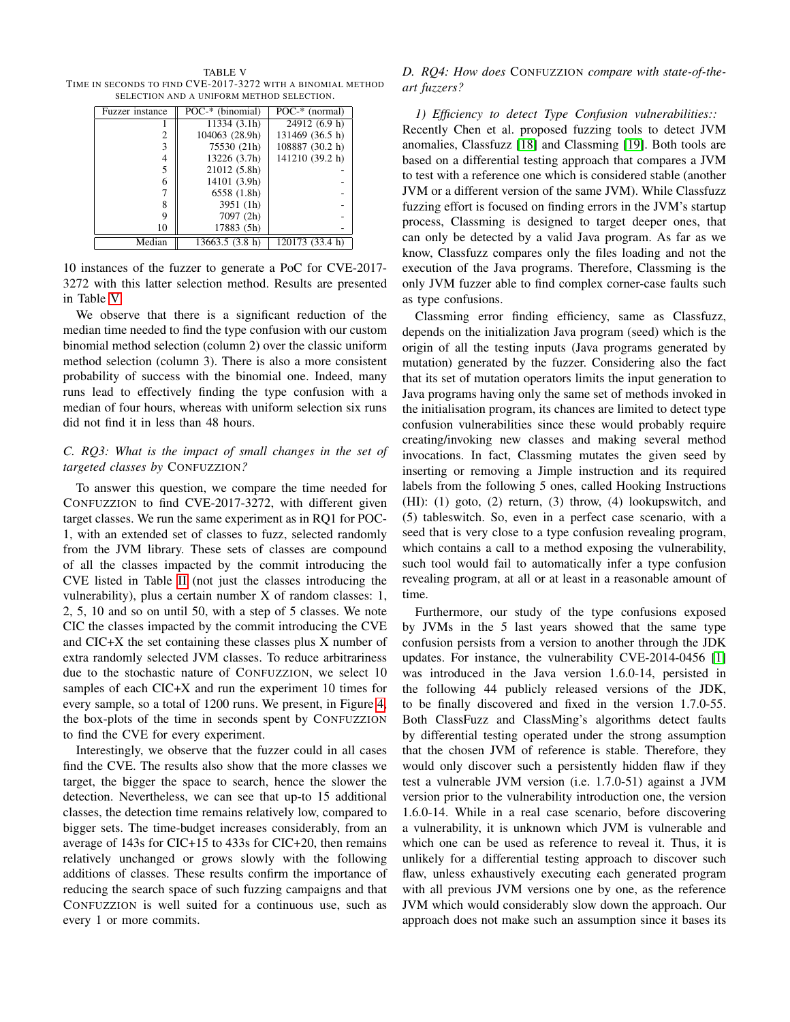<span id="page-7-0"></span>TABLE V TIME IN SECONDS TO FIND CVE-2017-3272 WITH A BINOMIAL METHOD SELECTION AND A UNIFORM METHOD SELECTION.

| Fuzzer instance | POC-* (binomial) | POC-* (normal)  |
|-----------------|------------------|-----------------|
|                 | 11334 (3.1h)     | 24912 (6.9 h)   |
| 2               | 104063 (28.9h)   | 131469 (36.5 h) |
| 3               | 75530 (21h)      | 108887 (30.2 h) |
| 4               | 13226 (3.7h)     | 141210 (39.2 h) |
| 5               | 21012 (5.8h)     |                 |
| 6               | 14101 (3.9h)     |                 |
|                 | 6558 (1.8h)      |                 |
| 8               | 3951 (1h)        |                 |
| 9               | 7097 (2h)        |                 |
| 10              | 17883 (5h)       |                 |
| Median          | 13663.5 (3.8 h)  | 120173 (33.4 h) |

10 instances of the fuzzer to generate a PoC for CVE-2017- 3272 with this latter selection method. Results are presented in Table [V.](#page-7-0)

We observe that there is a significant reduction of the median time needed to find the type confusion with our custom binomial method selection (column 2) over the classic uniform method selection (column 3). There is also a more consistent probability of success with the binomial one. Indeed, many runs lead to effectively finding the type confusion with a median of four hours, whereas with uniform selection six runs did not find it in less than 48 hours.

## <span id="page-7-1"></span>*C. RQ3: What is the impact of small changes in the set of targeted classes by* CONFUZZION*?*

To answer this question, we compare the time needed for CONFUZZION to find CVE-2017-3272, with different given target classes. We run the same experiment as in RQ1 for POC-1, with an extended set of classes to fuzz, selected randomly from the JVM library. These sets of classes are compound of all the classes impacted by the commit introducing the CVE listed in Table [II](#page-6-0) (not just the classes introducing the vulnerability), plus a certain number X of random classes: 1, 2, 5, 10 and so on until 50, with a step of 5 classes. We note CIC the classes impacted by the commit introducing the CVE and CIC+X the set containing these classes plus X number of extra randomly selected JVM classes. To reduce arbitrariness due to the stochastic nature of CONFUZZION, we select 10 samples of each CIC+X and run the experiment 10 times for every sample, so a total of 1200 runs. We present, in Figure [4,](#page-8-0) the box-plots of the time in seconds spent by CONFUZZION to find the CVE for every experiment.

Interestingly, we observe that the fuzzer could in all cases find the CVE. The results also show that the more classes we target, the bigger the space to search, hence the slower the detection. Nevertheless, we can see that up-to 15 additional classes, the detection time remains relatively low, compared to bigger sets. The time-budget increases considerably, from an average of 143s for CIC+15 to 433s for CIC+20, then remains relatively unchanged or grows slowly with the following additions of classes. These results confirm the importance of reducing the search space of such fuzzing campaigns and that CONFUZZION is well suited for a continuous use, such as every 1 or more commits.

# *D. RQ4: How does* CONFUZZION *compare with state-of-theart fuzzers?*

*1) Efficiency to detect Type Confusion vulnerabilities::* Recently Chen et al. proposed fuzzing tools to detect JVM anomalies, Classfuzz [\[18\]](#page-11-12) and Classming [\[19\]](#page-11-13). Both tools are based on a differential testing approach that compares a JVM to test with a reference one which is considered stable (another JVM or a different version of the same JVM). While Classfuzz fuzzing effort is focused on finding errors in the JVM's startup process, Classming is designed to target deeper ones, that can only be detected by a valid Java program. As far as we know, Classfuzz compares only the files loading and not the execution of the Java programs. Therefore, Classming is the only JVM fuzzer able to find complex corner-case faults such as type confusions.

Classming error finding efficiency, same as Classfuzz, depends on the initialization Java program (seed) which is the origin of all the testing inputs (Java programs generated by mutation) generated by the fuzzer. Considering also the fact that its set of mutation operators limits the input generation to Java programs having only the same set of methods invoked in the initialisation program, its chances are limited to detect type confusion vulnerabilities since these would probably require creating/invoking new classes and making several method invocations. In fact, Classming mutates the given seed by inserting or removing a Jimple instruction and its required labels from the following 5 ones, called Hooking Instructions (HI): (1) goto, (2) return, (3) throw, (4) lookupswitch, and (5) tableswitch. So, even in a perfect case scenario, with a seed that is very close to a type confusion revealing program, which contains a call to a method exposing the vulnerability, such tool would fail to automatically infer a type confusion revealing program, at all or at least in a reasonable amount of time.

Furthermore, our study of the type confusions exposed by JVMs in the 5 last years showed that the same type confusion persists from a version to another through the JDK updates. For instance, the vulnerability CVE-2014-0456 [\[1\]](#page-10-0) was introduced in the Java version 1.6.0-14, persisted in the following 44 publicly released versions of the JDK, to be finally discovered and fixed in the version 1.7.0-55. Both ClassFuzz and ClassMing's algorithms detect faults by differential testing operated under the strong assumption that the chosen JVM of reference is stable. Therefore, they would only discover such a persistently hidden flaw if they test a vulnerable JVM version (i.e. 1.7.0-51) against a JVM version prior to the vulnerability introduction one, the version 1.6.0-14. While in a real case scenario, before discovering a vulnerability, it is unknown which JVM is vulnerable and which one can be used as reference to reveal it. Thus, it is unlikely for a differential testing approach to discover such flaw, unless exhaustively executing each generated program with all previous JVM versions one by one, as the reference JVM which would considerably slow down the approach. Our approach does not make such an assumption since it bases its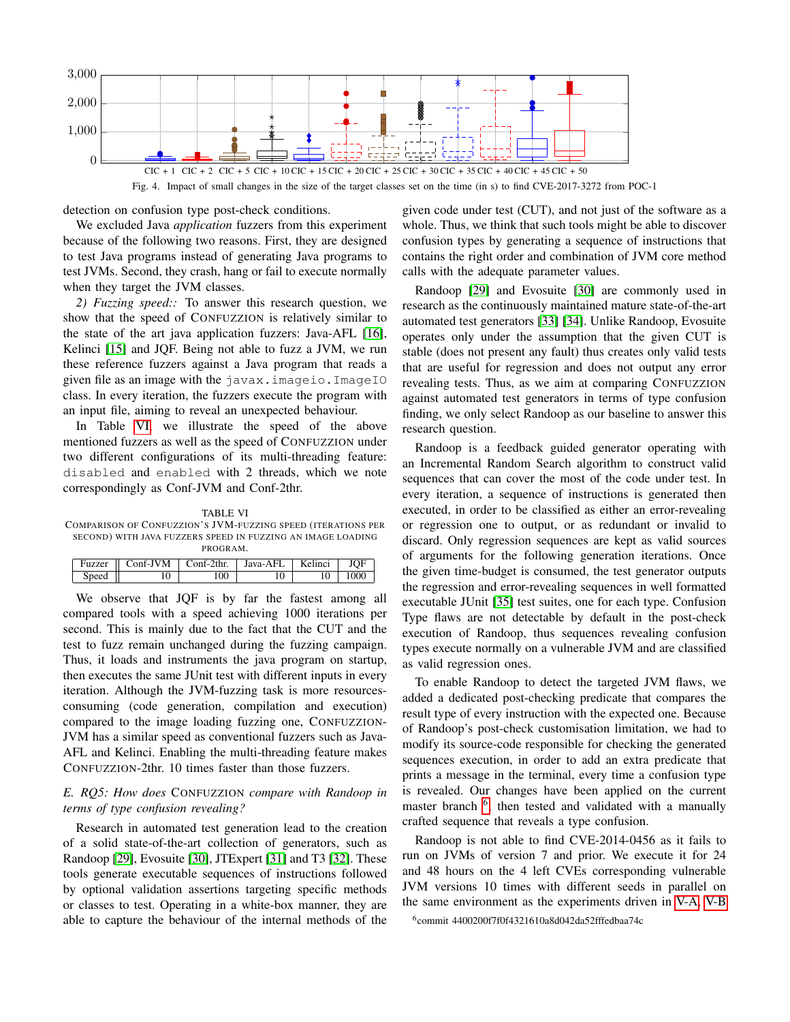

Fig. 4. Impact of small changes in the size of the target classes set on the time (in s) to find CVE-2017-3272 from POC-1

detection on confusion type post-check conditions.

We excluded Java *application* fuzzers from this experiment because of the following two reasons. First, they are designed to test Java programs instead of generating Java programs to test JVMs. Second, they crash, hang or fail to execute normally when they target the JVM classes.

*2) Fuzzing speed::* To answer this research question, we show that the speed of CONFUZZION is relatively similar to the state of the art java application fuzzers: Java-AFL [\[16\]](#page-11-10), Kelinci [\[15\]](#page-11-9) and JQF. Being not able to fuzz a JVM, we run these reference fuzzers against a Java program that reads a given file as an image with the javax.imageio.ImageIO class. In every iteration, the fuzzers execute the program with an input file, aiming to reveal an unexpected behaviour.

In Table [VI,](#page-8-1) we illustrate the speed of the above mentioned fuzzers as well as the speed of CONFUZZION under two different configurations of its multi-threading feature: disabled and enabled with 2 threads, which we note correspondingly as Conf-JVM and Conf-2thr.

<span id="page-8-1"></span>TABLE VI COMPARISON OF CONFUZZION'S JVM-FUZZING SPEED (ITERATIONS PER SECOND) WITH JAVA FUZZERS SPEED IN FUZZING AN IMAGE LOADING PROGRAM.

|       | Fuzzer $\parallel$ Conf-J $\overline{VM}$ $\parallel$ Conf-2thr. |     | Java-AFL | Kelinci | JOF  |
|-------|------------------------------------------------------------------|-----|----------|---------|------|
| Speed |                                                                  | 100 |          |         | 1000 |

We observe that JQF is by far the fastest among all compared tools with a speed achieving 1000 iterations per second. This is mainly due to the fact that the CUT and the test to fuzz remain unchanged during the fuzzing campaign. Thus, it loads and instruments the java program on startup, then executes the same JUnit test with different inputs in every iteration. Although the JVM-fuzzing task is more resourcesconsuming (code generation, compilation and execution) compared to the image loading fuzzing one, CONFUZZION-JVM has a similar speed as conventional fuzzers such as Java-AFL and Kelinci. Enabling the multi-threading feature makes CONFUZZION-2thr. 10 times faster than those fuzzers.

## *E. RQ5: How does* CONFUZZION *compare with Randoop in terms of type confusion revealing?*

Research in automated test generation lead to the creation of a solid state-of-the-art collection of generators, such as Randoop [\[29\]](#page-11-23), Evosuite [\[30\]](#page-11-24), JTExpert [\[31\]](#page-11-25) and T3 [\[32\]](#page-11-26). These tools generate executable sequences of instructions followed by optional validation assertions targeting specific methods or classes to test. Operating in a white-box manner, they are able to capture the behaviour of the internal methods of the

<span id="page-8-0"></span>given code under test (CUT), and not just of the software as a whole. Thus, we think that such tools might be able to discover confusion types by generating a sequence of instructions that contains the right order and combination of JVM core method calls with the adequate parameter values.

Randoop [\[29\]](#page-11-23) and Evosuite [\[30\]](#page-11-24) are commonly used in research as the continuously maintained mature state-of-the-art automated test generators [\[33\]](#page-11-27) [\[34\]](#page-11-28). Unlike Randoop, Evosuite operates only under the assumption that the given CUT is stable (does not present any fault) thus creates only valid tests that are useful for regression and does not output any error revealing tests. Thus, as we aim at comparing CONFUZZION against automated test generators in terms of type confusion finding, we only select Randoop as our baseline to answer this research question.

Randoop is a feedback guided generator operating with an Incremental Random Search algorithm to construct valid sequences that can cover the most of the code under test. In every iteration, a sequence of instructions is generated then executed, in order to be classified as either an error-revealing or regression one to output, or as redundant or invalid to discard. Only regression sequences are kept as valid sources of arguments for the following generation iterations. Once the given time-budget is consumed, the test generator outputs the regression and error-revealing sequences in well formatted executable JUnit [\[35\]](#page-11-29) test suites, one for each type. Confusion Type flaws are not detectable by default in the post-check execution of Randoop, thus sequences revealing confusion types execute normally on a vulnerable JVM and are classified as valid regression ones.

To enable Randoop to detect the targeted JVM flaws, we added a dedicated post-checking predicate that compares the result type of every instruction with the expected one. Because of Randoop's post-check customisation limitation, we had to modify its source-code responsible for checking the generated sequences execution, in order to add an extra predicate that prints a message in the terminal, every time a confusion type is revealed. Our changes have been applied on the current master branch <sup>[6](#page-8-2)</sup>, then tested and validated with a manually crafted sequence that reveals a type confusion.

Randoop is not able to find CVE-2014-0456 as it fails to run on JVMs of version 7 and prior. We execute it for 24 and 48 hours on the 4 left CVEs corresponding vulnerable JVM versions 10 times with different seeds in parallel on the same environment as the experiments driven in [V-A,](#page-6-4) [V-B](#page-6-5)

<span id="page-8-2"></span>6 commit 4400200f7f0f4321610a8d042da52fffedbaa74c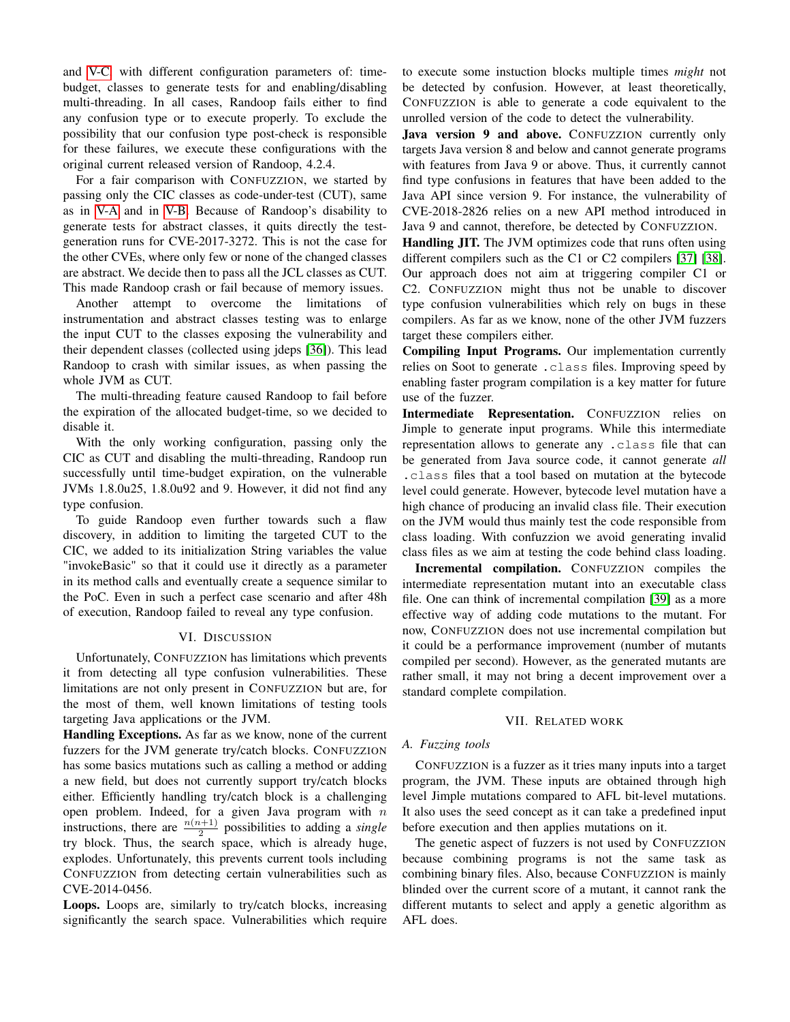and [V-C,](#page-7-1) with different configuration parameters of: timebudget, classes to generate tests for and enabling/disabling multi-threading. In all cases, Randoop fails either to find any confusion type or to execute properly. To exclude the possibility that our confusion type post-check is responsible for these failures, we execute these configurations with the original current released version of Randoop, 4.2.4.

For a fair comparison with CONFUZZION, we started by passing only the CIC classes as code-under-test (CUT), same as in [V-A](#page-6-4) and in [V-B.](#page-6-5) Because of Randoop's disability to generate tests for abstract classes, it quits directly the testgeneration runs for CVE-2017-3272. This is not the case for the other CVEs, where only few or none of the changed classes are abstract. We decide then to pass all the JCL classes as CUT. This made Randoop crash or fail because of memory issues.

Another attempt to overcome the limitations of instrumentation and abstract classes testing was to enlarge the input CUT to the classes exposing the vulnerability and their dependent classes (collected using jdeps [\[36\]](#page-11-30)). This lead Randoop to crash with similar issues, as when passing the whole JVM as CUT.

The multi-threading feature caused Randoop to fail before the expiration of the allocated budget-time, so we decided to disable it.

With the only working configuration, passing only the CIC as CUT and disabling the multi-threading, Randoop run successfully until time-budget expiration, on the vulnerable JVMs 1.8.0u25, 1.8.0u92 and 9. However, it did not find any type confusion.

To guide Randoop even further towards such a flaw discovery, in addition to limiting the targeted CUT to the CIC, we added to its initialization String variables the value "invokeBasic" so that it could use it directly as a parameter in its method calls and eventually create a sequence similar to the PoC. Even in such a perfect case scenario and after 48h of execution, Randoop failed to reveal any type confusion.

## VI. DISCUSSION

<span id="page-9-0"></span>Unfortunately, CONFUZZION has limitations which prevents it from detecting all type confusion vulnerabilities. These limitations are not only present in CONFUZZION but are, for the most of them, well known limitations of testing tools targeting Java applications or the JVM.

Handling Exceptions. As far as we know, none of the current fuzzers for the JVM generate try/catch blocks. CONFUZZION has some basics mutations such as calling a method or adding a new field, but does not currently support try/catch blocks either. Efficiently handling try/catch block is a challenging open problem. Indeed, for a given Java program with  $n$ instructions, there are  $\frac{n(n+1)}{2}$  possibilities to adding a *single* try block. Thus, the search space, which is already huge, explodes. Unfortunately, this prevents current tools including CONFUZZION from detecting certain vulnerabilities such as CVE-2014-0456.

Loops. Loops are, similarly to try/catch blocks, increasing significantly the search space. Vulnerabilities which require

to execute some instuction blocks multiple times *might* not be detected by confusion. However, at least theoretically, CONFUZZION is able to generate a code equivalent to the unrolled version of the code to detect the vulnerability.

Java version 9 and above. CONFUZZION currently only targets Java version 8 and below and cannot generate programs with features from Java 9 or above. Thus, it currently cannot find type confusions in features that have been added to the Java API since version 9. For instance, the vulnerability of CVE-2018-2826 relies on a new API method introduced in Java 9 and cannot, therefore, be detected by CONFUZZION.

Handling JIT. The JVM optimizes code that runs often using different compilers such as the C1 or C2 compilers [\[37\]](#page-11-31) [\[38\]](#page-11-32). Our approach does not aim at triggering compiler C1 or C2. CONFUZZION might thus not be unable to discover type confusion vulnerabilities which rely on bugs in these compilers. As far as we know, none of the other JVM fuzzers target these compilers either.

Compiling Input Programs. Our implementation currently relies on Soot to generate .class files. Improving speed by enabling faster program compilation is a key matter for future use of the fuzzer.

Intermediate Representation. CONFUZZION relies on Jimple to generate input programs. While this intermediate representation allows to generate any .class file that can be generated from Java source code, it cannot generate *all* .class files that a tool based on mutation at the bytecode level could generate. However, bytecode level mutation have a high chance of producing an invalid class file. Their execution on the JVM would thus mainly test the code responsible from class loading. With confuzzion we avoid generating invalid class files as we aim at testing the code behind class loading.

Incremental compilation. CONFUZZION compiles the intermediate representation mutant into an executable class file. One can think of incremental compilation [\[39\]](#page-11-33) as a more effective way of adding code mutations to the mutant. For now, CONFUZZION does not use incremental compilation but it could be a performance improvement (number of mutants compiled per second). However, as the generated mutants are rather small, it may not bring a decent improvement over a standard complete compilation.

#### VII. RELATED WORK

## *A. Fuzzing tools*

CONFUZZION is a fuzzer as it tries many inputs into a target program, the JVM. These inputs are obtained through high level Jimple mutations compared to AFL bit-level mutations. It also uses the seed concept as it can take a predefined input before execution and then applies mutations on it.

The genetic aspect of fuzzers is not used by CONFUZZION because combining programs is not the same task as combining binary files. Also, because CONFUZZION is mainly blinded over the current score of a mutant, it cannot rank the different mutants to select and apply a genetic algorithm as AFL does.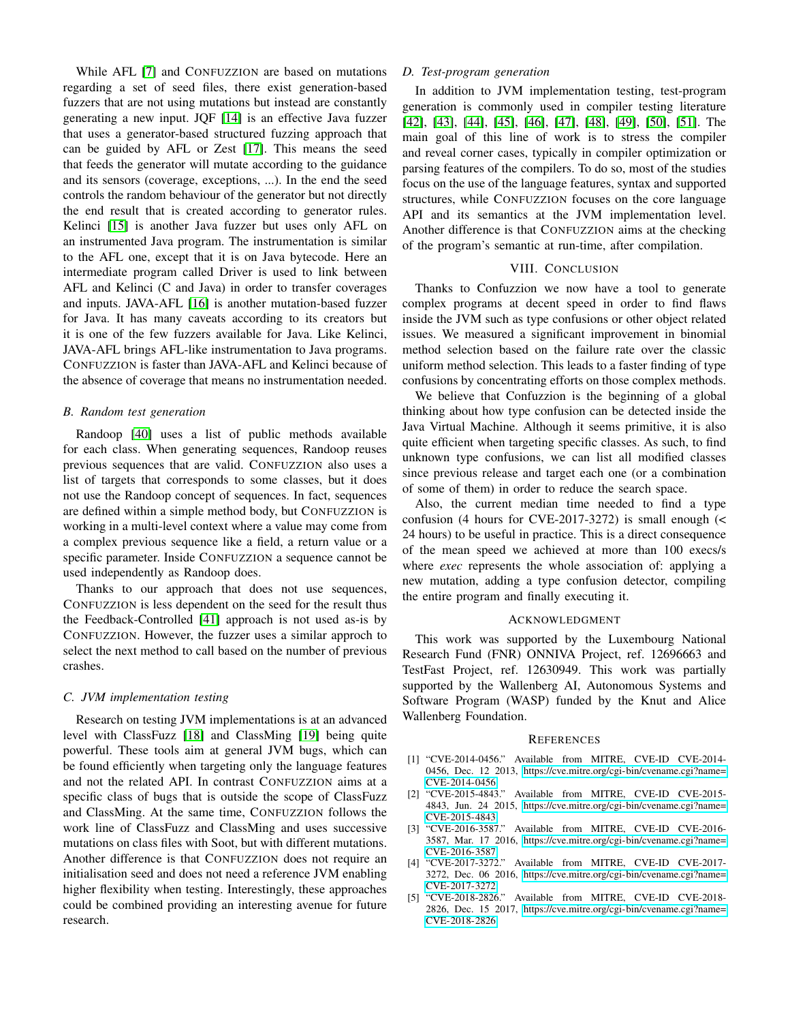While AFL [\[7\]](#page-11-1) and CONFUZZION are based on mutations regarding a set of seed files, there exist generation-based fuzzers that are not using mutations but instead are constantly generating a new input. JQF [\[14\]](#page-11-8) is an effective Java fuzzer that uses a generator-based structured fuzzing approach that can be guided by AFL or Zest [\[17\]](#page-11-11). This means the seed that feeds the generator will mutate according to the guidance and its sensors (coverage, exceptions, ...). In the end the seed controls the random behaviour of the generator but not directly the end result that is created according to generator rules. Kelinci [\[15\]](#page-11-9) is another Java fuzzer but uses only AFL on an instrumented Java program. The instrumentation is similar to the AFL one, except that it is on Java bytecode. Here an intermediate program called Driver is used to link between AFL and Kelinci (C and Java) in order to transfer coverages and inputs. JAVA-AFL [\[16\]](#page-11-10) is another mutation-based fuzzer for Java. It has many caveats according to its creators but it is one of the few fuzzers available for Java. Like Kelinci, JAVA-AFL brings AFL-like instrumentation to Java programs. CONFUZZION is faster than JAVA-AFL and Kelinci because of the absence of coverage that means no instrumentation needed.

### *B. Random test generation*

Randoop [\[40\]](#page-11-34) uses a list of public methods available for each class. When generating sequences, Randoop reuses previous sequences that are valid. CONFUZZION also uses a list of targets that corresponds to some classes, but it does not use the Randoop concept of sequences. In fact, sequences are defined within a simple method body, but CONFUZZION is working in a multi-level context where a value may come from a complex previous sequence like a field, a return value or a specific parameter. Inside CONFUZZION a sequence cannot be used independently as Randoop does.

Thanks to our approach that does not use sequences, CONFUZZION is less dependent on the seed for the result thus the Feedback-Controlled [\[41\]](#page-11-35) approach is not used as-is by CONFUZZION. However, the fuzzer uses a similar approch to select the next method to call based on the number of previous crashes.

#### *C. JVM implementation testing*

Research on testing JVM implementations is at an advanced level with ClassFuzz [\[18\]](#page-11-12) and ClassMing [\[19\]](#page-11-13) being quite powerful. These tools aim at general JVM bugs, which can be found efficiently when targeting only the language features and not the related API. In contrast CONFUZZION aims at a specific class of bugs that is outside the scope of ClassFuzz and ClassMing. At the same time, CONFUZZION follows the work line of ClassFuzz and ClassMing and uses successive mutations on class files with Soot, but with different mutations. Another difference is that CONFUZZION does not require an initialisation seed and does not need a reference JVM enabling higher flexibility when testing. Interestingly, these approaches could be combined providing an interesting avenue for future research.

### *D. Test-program generation*

In addition to JVM implementation testing, test-program generation is commonly used in compiler testing literature [\[42\]](#page-11-36), [\[43\]](#page-11-37), [\[44\]](#page-11-38), [\[45\]](#page-11-39), [\[46\]](#page-11-40), [\[47\]](#page-11-41), [\[48\]](#page-11-42), [\[49\]](#page-11-43), [\[50\]](#page-11-44), [\[51\]](#page-11-45). The main goal of this line of work is to stress the compiler and reveal corner cases, typically in compiler optimization or parsing features of the compilers. To do so, most of the studies focus on the use of the language features, syntax and supported structures, while CONFUZZION focuses on the core language API and its semantics at the JVM implementation level. Another difference is that CONFUZZION aims at the checking of the program's semantic at run-time, after compilation.

## VIII. CONCLUSION

Thanks to Confuzzion we now have a tool to generate complex programs at decent speed in order to find flaws inside the JVM such as type confusions or other object related issues. We measured a significant improvement in binomial method selection based on the failure rate over the classic uniform method selection. This leads to a faster finding of type confusions by concentrating efforts on those complex methods.

We believe that Confuzzion is the beginning of a global thinking about how type confusion can be detected inside the Java Virtual Machine. Although it seems primitive, it is also quite efficient when targeting specific classes. As such, to find unknown type confusions, we can list all modified classes since previous release and target each one (or a combination of some of them) in order to reduce the search space.

Also, the current median time needed to find a type confusion (4 hours for CVE-2017-3272) is small enough (< 24 hours) to be useful in practice. This is a direct consequence of the mean speed we achieved at more than 100 execs/s where *exec* represents the whole association of: applying a new mutation, adding a type confusion detector, compiling the entire program and finally executing it.

#### ACKNOWLEDGMENT

This work was supported by the Luxembourg National Research Fund (FNR) ONNIVA Project, ref. 12696663 and TestFast Project, ref. 12630949. This work was partially supported by the Wallenberg AI, Autonomous Systems and Software Program (WASP) funded by the Knut and Alice Wallenberg Foundation.

#### **REFERENCES**

- <span id="page-10-0"></span>[1] "CVE-2014-0456." Available from MITRE, CVE-ID CVE-2014- 0456, Dec. 12 2013, [https://cve.mitre.org/cgi-bin/cvename.cgi?name=](https://cve.mitre.org/cgi-bin/cvename.cgi?name=CVE-2014-0456) [CVE-2014-0456.](https://cve.mitre.org/cgi-bin/cvename.cgi?name=CVE-2014-0456)
- <span id="page-10-1"></span>[2] "CVE-2015-4843." Available from MITRE, CVE-ID CVE-2015- 4843, Jun. 24 2015, [https://cve.mitre.org/cgi-bin/cvename.cgi?name=](https://cve.mitre.org/cgi-bin/cvename.cgi?name=CVE-2015-4843)
- <span id="page-10-2"></span>[CVE-2015-4843.](https://cve.mitre.org/cgi-bin/cvename.cgi?name=CVE-2015-4843)<br>[3] "CVE-2016-3587." Available from MITRE, CVE-ID CVE-2016-3587, Mar. 17 2016, [https://cve.mitre.org/cgi-bin/cvename.cgi?name=](https://cve.mitre.org/cgi-bin/cvename.cgi?name=CVE-2016-3587) [CVE-2016-3587.](https://cve.mitre.org/cgi-bin/cvename.cgi?name=CVE-2016-3587)
- <span id="page-10-3"></span>[4] "CVE-2017-3272." Available from MITRE, CVE-ID CVE-2017- 3272, Dec. 06 2016, [https://cve.mitre.org/cgi-bin/cvename.cgi?name=](https://cve.mitre.org/cgi-bin/cvename.cgi?name=CVE-2017-3272) [CVE-2017-3272.](https://cve.mitre.org/cgi-bin/cvename.cgi?name=CVE-2017-3272)
- <span id="page-10-4"></span>[5] "CVE-2018-2826." Available from MITRE, CVE-ID CVE-2018- 2826, Dec. 15 2017, [https://cve.mitre.org/cgi-bin/cvename.cgi?name=](https://cve.mitre.org/cgi-bin/cvename.cgi?name=CVE-2018-2826) [CVE-2018-2826.](https://cve.mitre.org/cgi-bin/cvename.cgi?name=CVE-2018-2826)